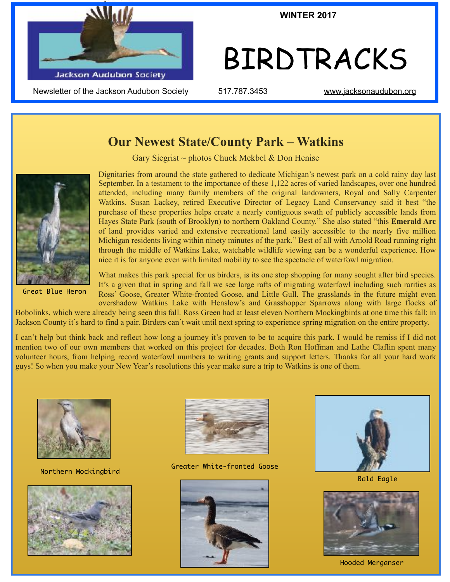

Newsletter of the Jackson Audubon Society  $1517.787.3453$  [www.jacksonaudubon.org](http://www.jacksonaudubon.org)

**WINTER 2017**

# BIRDTRACKS

## **Our Newest State/County Park – Watkins**

Gary Siegrist  $\sim$  photos Chuck Mekbel & Don Henise



Great Blue Heron

Dignitaries from around the state gathered to dedicate Michigan's newest park on a cold rainy day last September. In a testament to the importance of these 1,122 acres of varied landscapes, over one hundred attended, including many family members of the original landowners, Royal and Sally Carpenter Watkins. Susan Lackey, retired Executive Director of Legacy Land Conservancy said it best "the purchase of these properties helps create a nearly contiguous swath of publicly accessible lands from Hayes State Park (south of Brooklyn) to northern Oakland County." She also stated "this **Emerald Arc** of land provides varied and extensive recreational land easily accessible to the nearly five million Michigan residents living within ninety minutes of the park." Best of all with Arnold Road running right through the middle of Watkins Lake, watchable wildlife viewing can be a wonderful experience. How nice it is for anyone even with limited mobility to see the spectacle of waterfowl migration.

What makes this park special for us birders, is its one stop shopping for many sought after bird species. It's a given that in spring and fall we see large rafts of migrating waterfowl including such rarities as Ross' Goose, Greater White-fronted Goose, and Little Gull. The grasslands in the future might even overshadow Watkins Lake with Henslow's and Grasshopper Sparrows along with large flocks of

Bobolinks, which were already being seen this fall. Ross Green had at least eleven Northern Mockingbirds at one time this fall; in Jackson County it's hard to find a pair. Birders can't wait until next spring to experience spring migration on the entire property.

I can't help but think back and reflect how long a journey it's proven to be to acquire this park. I would be remiss if I did not mention two of our own members that worked on this project for decades. Both Ron Hoffman and Lathe Claflin spent many volunteer hours, from helping record waterfowl numbers to writing grants and support letters. Thanks for all your hard work guys! So when you make your New Year's resolutions this year make sure a trip to Watkins is one of them.







Northern Mockingbird Greater White-fronted Goose





Bald Eagle



Hooded Merganser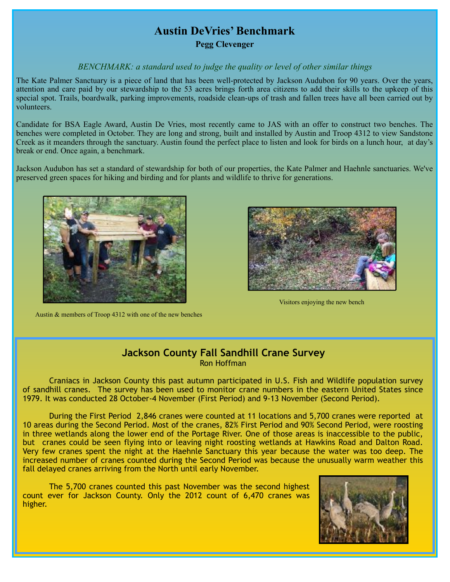# **Austin DeVries' Benchmark**

**Pegg Clevenger**

#### *BENCHMARK: a standard used to judge the quality or level of other similar things*

The Kate Palmer Sanctuary is a piece of land that has been well-protected by Jackson Audubon for 90 years. Over the years, attention and care paid by our stewardship to the 53 acres brings forth area citizens to add their skills to the upkeep of this special spot. Trails, boardwalk, parking improvements, roadside clean-ups of trash and fallen trees have all been carried out by volunteers.

Candidate for BSA Eagle Award, Austin De Vries, most recently came to JAS with an offer to construct two benches. The benches were completed in October. They are long and strong, built and installed by Austin and Troop 4312 to view Sandstone Creek as it meanders through the sanctuary. Austin found the perfect place to listen and look for birds on a lunch hour, at day's break or end. Once again, a benchmark.

Jackson Audubon has set a standard of stewardship for both of our properties, the Kate Palmer and Haehnle sanctuaries. We've preserved green spaces for hiking and birding and for plants and wildlife to thrive for generations.



Austin & members of Troop 4312 with one of the new benches



Visitors enjoying the new bench

#### **Jackson County Fall Sandhill Crane Survey** Ron Hoffman

 Craniacs in Jackson County this past autumn participated in U.S. Fish and Wildlife population survey of sandhill cranes. The survey has been used to monitor crane numbers in the eastern United States since 1979. It was conducted 28 October-4 November (First Period) and 9-13 November (Second Period).

During the First Period 2,846 cranes were counted at 11 locations and 5,700 cranes were reported at 10 areas during the Second Period. Most of the cranes, 82% First Period and 90% Second Period, were roosting in three wetlands along the lower end of the Portage River. One of those areas is inaccessible to the public, but cranes could be seen flying into or leaving night roosting wetlands at Hawkins Road and Dalton Road. Very few cranes spent the night at the Haehnle Sanctuary this year because the water was too deep. The increased number of cranes counted during the Second Period was because the unusually warm weather this fall delayed cranes arriving from the North until early November.

The 5,700 cranes counted this past November was the second highest count ever for Jackson County. Only the 2012 count of 6,470 cranes was higher.

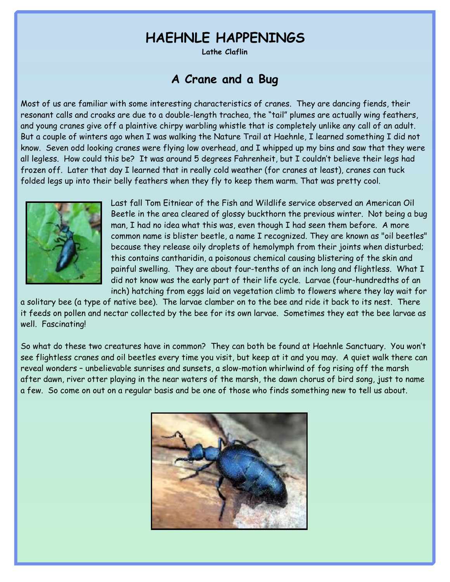# **HAEHNLE HAPPENINGS**

**Lathe Claflin** 

## **A Crane and a Bug**

Most of us are familiar with some interesting characteristics of cranes. They are dancing fiends, their resonant calls and croaks are due to a double-length trachea, the "tail" plumes are actually wing feathers, and young cranes give off a plaintive chirpy warbling whistle that is completely unlike any call of an adult. But a couple of winters ago when I was walking the Nature Trail at Haehnle, I learned something I did not know. Seven odd looking cranes were flying low overhead, and I whipped up my bins and saw that they were all legless. How could this be? It was around 5 degrees Fahrenheit, but I couldn't believe their legs had frozen off. Later that day I learned that in really cold weather (for cranes at least), cranes can tuck folded legs up into their belly feathers when they fly to keep them warm. That was pretty cool.



Last fall Tom Eitniear of the Fish and Wildlife service observed an American Oil Beetle in the area cleared of glossy buckthorn the previous winter. Not being a bug man, I had no idea what this was, even though I had seen them before. A more common name is blister beetle, a name I recognized. They are known as "oil beetles" because they release oily droplets of hemolymph from their joints when disturbed; this contains cantharidin, a poisonous chemical causing blistering of the skin and painful swelling. They are about four-tenths of an inch long and flightless. What I did not know was the early part of their life cycle. Larvae (four-hundredths of an inch) hatching from eggs laid on vegetation climb to flowers where they lay wait for

a solitary bee (a type of native bee). The larvae clamber on to the bee and ride it back to its nest. There it feeds on pollen and nectar collected by the bee for its own larvae. Sometimes they eat the bee larvae as well. Fascinating!

So what do these two creatures have in common? They can both be found at Haehnle Sanctuary. You won't see flightless cranes and oil beetles every time you visit, but keep at it and you may. A quiet walk there can reveal wonders – unbelievable sunrises and sunsets, a slow-motion whirlwind of fog rising off the marsh after dawn, river otter playing in the near waters of the marsh, the dawn chorus of bird song, just to name a few. So come on out on a regular basis and be one of those who finds something new to tell us about.

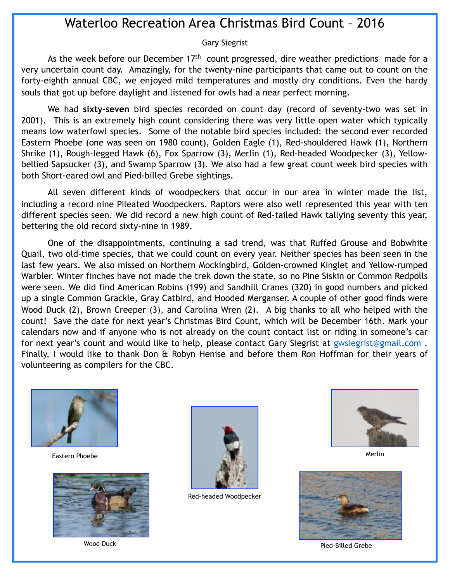# Waterloo Recreation Area Christmas Bird Count – 2016

#### Gary Siegrist

As the week before our December  $17<sup>th</sup>$  count progressed, dire weather predictions made for a very uncertain count day. Amazingly, for the twenty-nine participants that came out to count on the forty-eighth annual CBC, we enjoyed mild temperatures and mostly dry conditions. Even the hardy souls that got up before daylight and listened for owls had a near perfect morning.

 We had **sixty-seven** bird species recorded on count day (record of seventy-two was set in 2001). This is an extremely high count considering there was very little open water which typically means low waterfowl species. Some of the notable bird species included: the second ever recorded Eastern Phoebe (one was seen on 1980 count), Golden Eagle (1), Red-shouldered Hawk (1), Northern Shrike (1), Rough-legged Hawk (6), Fox Sparrow (3), Merlin (1), Red-headed Woodpecker (3), Yellowbellied Sapsucker (3), and Swamp Sparrow (3). We also had a few great count week bird species with both Short-eared owl and Pied-billed Grebe sightings.

 All seven different kinds of woodpeckers that occur in our area in winter made the list, including a record nine Pileated Woodpeckers. Raptors were also well represented this year with ten different species seen. We did record a new high count of Red-tailed Hawk tallying seventy this year, bettering the old record sixty-nine in 1989.

 One of the disappointments, continuing a sad trend, was that Ruffed Grouse and Bobwhite Quail, two old-time species, that we could count on every year. Neither species has been seen in the last few years. We also missed on Northern Mockingbird, Golden-crowned Kinglet and Yellow-rumped Warbler. Winter finches have not made the trek down the state, so no Pine Siskin or Common Redpolls were seen. We did find American Robins (199) and Sandhill Cranes (320) in good numbers and picked up a single Common Grackle, Gray Catbird, and Hooded Merganser. A couple of other good finds were Wood Duck (2), Brown Creeper (3), and Carolina Wren (2). A big thanks to all who helped with the count! Save the date for next year's Christmas Bird Count, which will be December 16th. Mark your calendars now and if anyone who is not already on the count contact list or riding in someone's car for next year's count and would like to help, please contact Gary Siegrist at gwsiegrist@gmail.com. Finally, I would like to thank Don & Robyn Henise and before them Ron Hoffman for their years of volunteering as compilers for the CBC.



Eastern Phoebe





Red-headed Woodpecker



Merlin



Wood Duck Pied-Billed Grebe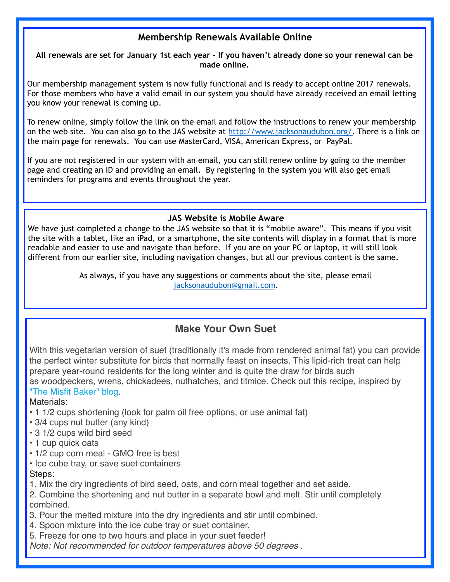#### **Membership Renewals Available Online**

**All renewals are set for January 1st each year - If you haven't already done so your renewal can be made online.**

Our membership management system is now fully functional and is ready to accept online 2017 renewals. For those members who have a valid email in our system you should have already received an email letting you know your renewal is coming up.

To renew online, simply follow the link on the email and follow the instructions to renew your membership on the web site. You can also go to the JAS website at [http://www.jacksonaudubon.org/.](http://www.jacksonaudubon.org/) There is a link on the main page for renewals. You can use MasterCard, VISA, American Express, or PayPal.

If you are not registered in our system with an email, you can still renew online by going to the member page and creating an ID and providing an email. By registering in the system you will also get email reminders for programs and events throughout the year.

#### **JAS Website is Mobile Aware**

We have just completed a change to the JAS website so that it is "mobile aware". This means if you visit the site with a tablet, like an iPad, or a smartphone, the site contents will display in a format that is more readable and easier to use and navigate than before. If you are on your PC or laptop, it will still look different from our earlier site, including navigation changes, but all our previous content is the same.

> As always, if you have any suggestions or comments about the site, please email [jacksonaudubon@gmail.com](mailto:jacksonaudubon@gmail.com).

### **Make Your Own Suet**

With this vegetarian version of suet (traditionally it's made from rendered animal fat) you can provide the perfect winter substitute for birds that normally feast on insects. This lipid-rich treat can help prepare year-round residents for the long winter and is quite the draw for birds such as woodpeckers, wrens, chickadees, nuthatches, and titmice. Check out this recipe, inspired by ["The Misfit Baker" blog.](https://themisfitbaker.com/2016/01/15/vegetarian-suet-cakes-for-birds/)

Materials:

- 1 1/2 cups shortening (look for palm oil free options, or use animal fat)
- 3/4 cups nut butter (any kind)
- 3 1/2 cups wild bird seed
- 1 cup quick oats
- 1/2 cup corn meal GMO free is best
- Ice cube tray, or save suet containers Steps:
- 1. Mix the dry ingredients of bird seed, oats, and corn meal together and set aside.

2. Combine the shortening and nut butter in a separate bowl and melt. Stir until completely combined.

- 3. Pour the melted mixture into the dry ingredients and stir until combined.
- 4. Spoon mixture into the ice cube tray or suet container.
- 5. Freeze for one to two hours and place in your suet feeder!

*Note: Not recommended for outdoor temperatures above 50 degrees .*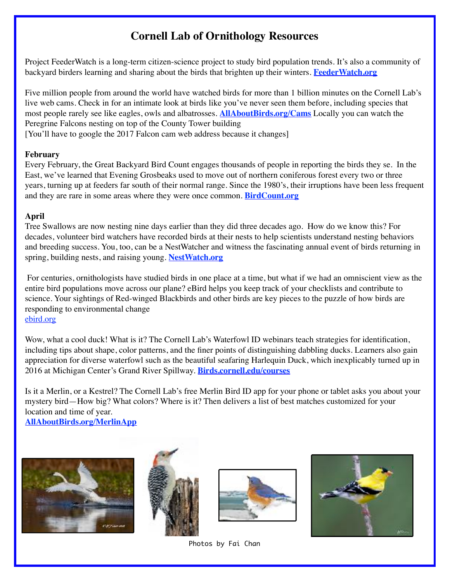# **Cornell Lab of Ornithology Resources**

Project FeederWatch is a long-term citizen-science project to study bird population trends. It's also a community of backyard birders learning and sharing about the birds that brighten up their winters. **[FeederWatch.org](http://feederwatch.org/)**

Five million people from around the world have watched birds for more than 1 billion minutes on the Cornell Lab's live web cams. Check in for an intimate look at birds like you've never seen them before, including species that most people rarely see like eagles, owls and albatrosses. **[AllAboutBirds.org/Cams](http://allaboutbirds.org/Cams)** Locally you can watch the Peregrine Falcons nesting on top of the County Tower building [You'll have to google the 2017 Falcon cam web address because it changes]

#### **February**

Every February, the Great Backyard Bird Count engages thousands of people in reporting the birds they se. In the East, we've learned that Evening Grosbeaks used to move out of northern coniferous forest every two or three years, turning up at feeders far south of their normal range. Since the 1980's, their irruptions have been less frequent and they are rare in some areas where they were once common. **[BirdCount.org](http://birdcount.org/)**

#### **April**

Tree Swallows are now nesting nine days earlier than they did three decades ago. How do we know this? For decades, volunteer bird watchers have recorded birds at their nests to help scientists understand nesting behaviors and breeding success. You, too, can be a NestWatcher and witness the fascinating annual event of birds returning in spring, building nests, and raising young. **[NestWatch.org](http://nestwatch.org/)**

For centuries, ornithologists have studied birds in one place at a time, but what if we had an omniscient view as the entire bird populations move across our plane? eBird helps you keep track of your checklists and contribute to science. Your sightings of Red-winged Blackbirds and other birds are key pieces to the puzzle of how birds are responding to environmental change [ebird.org](http://ebird.org/)

Wow, what a cool duck! What is it? The Cornell Lab's Waterfowl ID webinars teach strategies for identification, including tips about shape, color patterns, and the finer points of distinguishing dabbling ducks. Learners also gain appreciation for diverse waterfowl such as the beautiful seafaring Harlequin Duck, which inexplicably turned up in 2016 at Michigan Center's Grand River Spillway. **[Birds.cornell.edu/courses](http://birds.cornell.edu/courses)**

Is it a Merlin, or a Kestrel? The Cornell Lab's free Merlin Bird ID app for your phone or tablet asks you about your mystery bird—How big? What colors? Where is it? Then delivers a list of best matches customized for your location and time of year.

**[AllAboutBirds.org/MerlinApp](http://allaboutbirds.org/MerlinApp)**









Photos by Fai Chan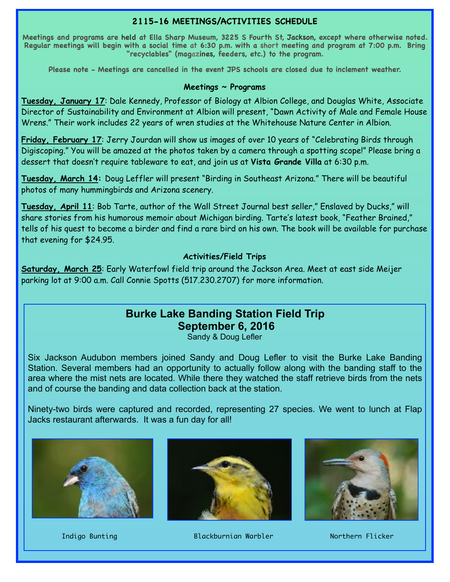#### **2115-16 MEETINGS/ACTIVITIES SCHEDULE**

**Meetings and programs are held at Ella Sharp Museum, 3225 S Fourth St, Jackson, except where otherwise noted. Regular meetings will begin with a social time at 6:30 p.m. with a short meeting and program at 7:00 p.m. Bring "recyclables" (magazines, feeders, etc.) to the program.** 

**Please note - Meetings are cancelled in the event JPS schools are closed due to inclement weather.**

#### **Meetings ~ Programs**

**Tuesday, January 17**: Dale Kennedy, Professor of Biology at Albion College, and Douglas White, Associate Director of Sustainability and Environment at Albion will present, "Dawn Activity of Male and Female House Wrens." Their work includes 22 years of wren studies at the Whitehouse Nature Center in Albion.

**Friday, February 17**: Jerry Jourdan will show us images of over 10 years of "Celebrating Birds through Digiscoping." You will be amazed at the photos taken by a camera through a spotting scope!" Please bring a dessert that doesn't require tableware to eat, and join us at **Vista Grande Villa** at 6:30 p.m.

**Tuesday, March 14:** Doug Leffler will present "Birding in Southeast Arizona." There will be beautiful photos of many hummingbirds and Arizona scenery.

**Tuesday, April 11**: Bob Tarte, author of the Wall Street Journal best seller," Enslaved by Ducks," will share stories from his humorous memoir about Michigan birding. Tarte's latest book, "Feather Brained," tells of his quest to become a birder and find a rare bird on his own. The book will be available for purchase that evening for \$24.95.

#### **Activities/Field Trips**

**Saturday, March 25**: Early Waterfowl field trip around the Jackson Area. Meet at east side Meijer parking lot at 9:00 a.m. Call Connie Spotts (517.230.2707) for more information.

# **Burke Lake Banding Station Field Trip September 6, 2016**

Sandy & Doug Lefler

Six Jackson Audubon members joined Sandy and Doug Lefler to visit the Burke Lake Banding Station. Several members had an opportunity to actually follow along with the banding staff to the area where the mist nets are located. While there they watched the staff retrieve birds from the nets and of course the banding and data collection back at the station.

Ninety-two birds were captured and recorded, representing 27 species. We went to lunch at Flap Jacks restaurant afterwards. It was a fun day for all!







Indigo Bunting The Blackburnian Warbler Northern Flicker